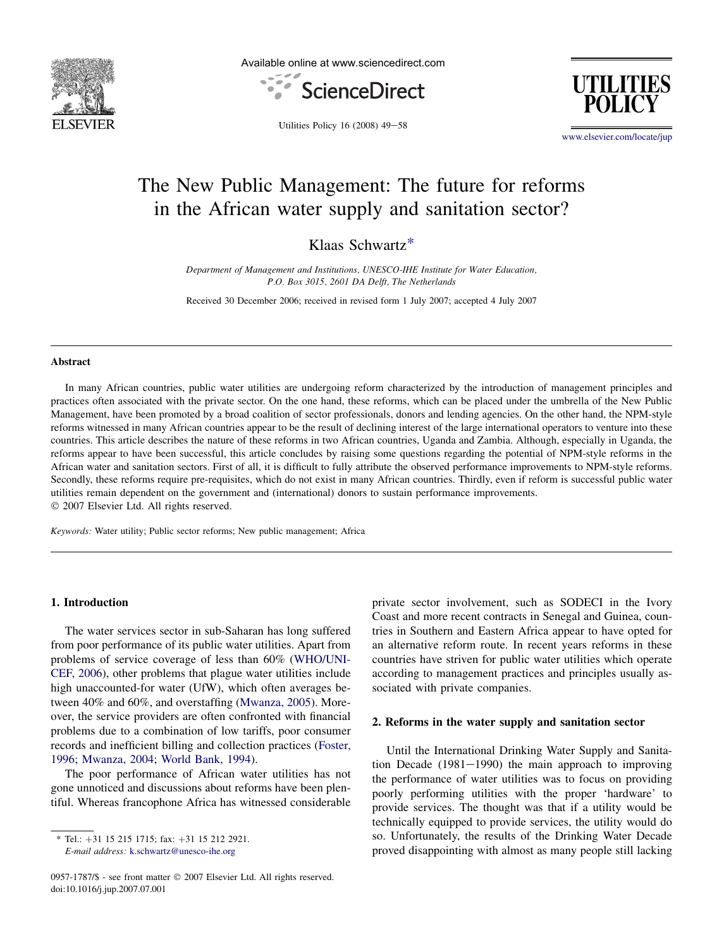

Available online at www.sciencedirect.com



**UTILITIES** 

Utilities Policy  $16$  (2008)  $49-58$ 

[www.elsevier.com/locate/jup](http://www.elsevier.com/locate/jup)

# The New Public Management: The future for reforms in the African water supply and sanitation sector?

Klaas Schwartz\*

Department of Management and Institutions, UNESCO-IHE Institute for Water Education, P.O. Box 3015, 2601 DA Delft, The Netherlands

Received 30 December 2006; received in revised form 1 July 2007; accepted 4 July 2007

# Abstract

In many African countries, public water utilities are undergoing reform characterized by the introduction of management principles and practices often associated with the private sector. On the one hand, these reforms, which can be placed under the umbrella of the New Public Management, have been promoted by a broad coalition of sector professionals, donors and lending agencies. On the other hand, the NPM-style reforms witnessed in many African countries appear to be the result of declining interest of the large international operators to venture into these countries. This article describes the nature of these reforms in two African countries, Uganda and Zambia. Although, especially in Uganda, the reforms appear to have been successful, this article concludes by raising some questions regarding the potential of NPM-style reforms in the African water and sanitation sectors. First of all, it is difficult to fully attribute the observed performance improvements to NPM-style reforms. Secondly, these reforms require pre-requisites, which do not exist in many African countries. Thirdly, even if reform is successful public water utilities remain dependent on the government and (international) donors to sustain performance improvements.  $© 2007 Elsevier Ltd. All rights reserved.$ 

Keywords: Water utility; Public sector reforms; New public management; Africa

# 1. Introduction

The water services sector in sub-Saharan has long suffered from poor performance of its public water utilities. Apart from problems of service coverage of less than 60% ([WHO/UNI-](#page--1-0)[CEF, 2006\)](#page--1-0), other problems that plague water utilities include high unaccounted-for water (UfW), which often averages between 40% and 60%, and overstaffing ([Mwanza, 2005](#page--1-0)). Moreover, the service providers are often confronted with financial problems due to a combination of low tariffs, poor consumer records and inefficient billing and collection practices ([Foster,](#page--1-0) [1996; Mwanza, 2004;](#page--1-0) [World Bank, 1994\)](#page--1-0).

The poor performance of African water utilities has not gone unnoticed and discussions about reforms have been plentiful. Whereas francophone Africa has witnessed considerable

E-mail address: [k.schwartz@unesco-ihe.org](mailto:k.schwartz@unesco-ihe.org)

private sector involvement, such as SODECI in the Ivory Coast and more recent contracts in Senegal and Guinea, countries in Southern and Eastern Africa appear to have opted for an alternative reform route. In recent years reforms in these countries have striven for public water utilities which operate according to management practices and principles usually associated with private companies.

# 2. Reforms in the water supply and sanitation sector

Until the International Drinking Water Supply and Sanitation Decade  $(1981-1990)$  the main approach to improving the performance of water utilities was to focus on providing poorly performing utilities with the proper 'hardware' to provide services. The thought was that if a utility would be technically equipped to provide services, the utility would do so. Unfortunately, the results of the Drinking Water Decade proved disappointing with almost as many people still lacking

 $*$  Tel.: +31 15 215 1715; fax: +31 15 212 2921.

<sup>0957-1787/\$ -</sup> see front matter © 2007 Elsevier Ltd. All rights reserved. doi:10.1016/j.jup.2007.07.001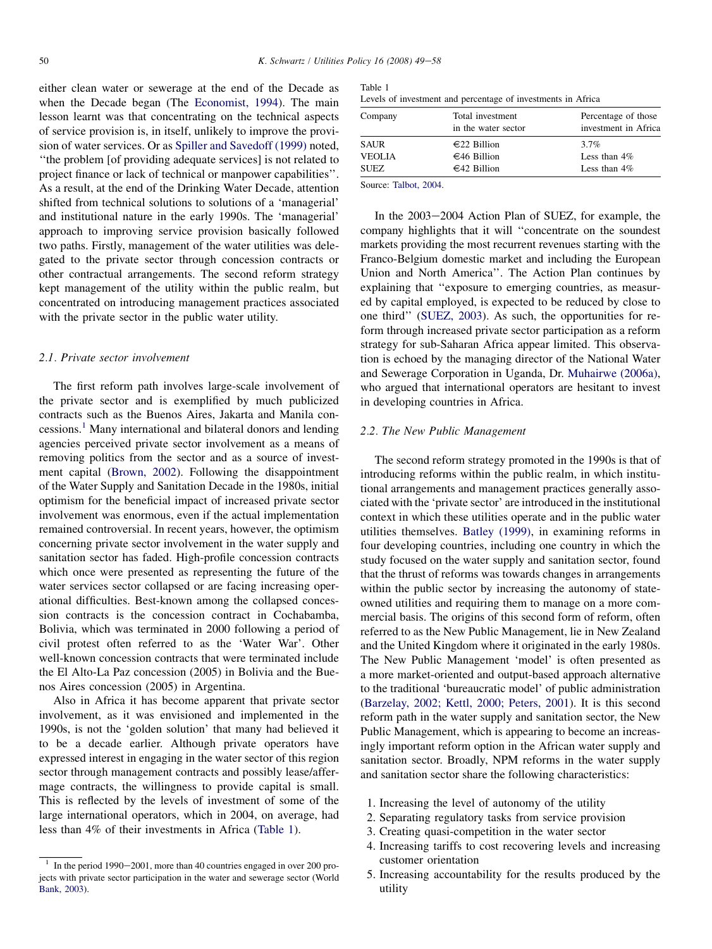either clean water or sewerage at the end of the Decade as when the Decade began (The [Economist, 1994\)](#page--1-0). The main lesson learnt was that concentrating on the technical aspects of service provision is, in itself, unlikely to improve the provision of water services. Or as [Spiller and Savedoff \(1999\)](#page--1-0) noted, ''the problem [of providing adequate services] is not related to project finance or lack of technical or manpower capabilities''. As a result, at the end of the Drinking Water Decade, attention shifted from technical solutions to solutions of a 'managerial' and institutional nature in the early 1990s. The 'managerial' approach to improving service provision basically followed two paths. Firstly, management of the water utilities was delegated to the private sector through concession contracts or other contractual arrangements. The second reform strategy kept management of the utility within the public realm, but concentrated on introducing management practices associated with the private sector in the public water utility.

# 2.1. Private sector involvement

The first reform path involves large-scale involvement of the private sector and is exemplified by much publicized contracts such as the Buenos Aires, Jakarta and Manila concessions.<sup>1</sup> Many international and bilateral donors and lending agencies perceived private sector involvement as a means of removing politics from the sector and as a source of investment capital [\(Brown, 2002\)](#page--1-0). Following the disappointment of the Water Supply and Sanitation Decade in the 1980s, initial optimism for the beneficial impact of increased private sector involvement was enormous, even if the actual implementation remained controversial. In recent years, however, the optimism concerning private sector involvement in the water supply and sanitation sector has faded. High-profile concession contracts which once were presented as representing the future of the water services sector collapsed or are facing increasing operational difficulties. Best-known among the collapsed concession contracts is the concession contract in Cochabamba, Bolivia, which was terminated in 2000 following a period of civil protest often referred to as the 'Water War'. Other well-known concession contracts that were terminated include the El Alto-La Paz concession (2005) in Bolivia and the Buenos Aires concession (2005) in Argentina.

Also in Africa it has become apparent that private sector involvement, as it was envisioned and implemented in the 1990s, is not the 'golden solution' that many had believed it to be a decade earlier. Although private operators have expressed interest in engaging in the water sector of this region sector through management contracts and possibly lease/affermage contracts, the willingness to provide capital is small. This is reflected by the levels of investment of some of the large international operators, which in 2004, on average, had less than 4% of their investments in Africa (Table 1).

| Table 1                                                      |  |  |  |
|--------------------------------------------------------------|--|--|--|
| Levels of investment and percentage of investments in Africa |  |  |  |

| Company       | Total investment<br>in the water sector | Percentage of those<br>investment in Africa |  |  |
|---------------|-----------------------------------------|---------------------------------------------|--|--|
| <b>SAUR</b>   | $€22$ Billion                           | $3.7\%$                                     |  |  |
| <b>VEOLIA</b> | $€46$ Billion                           | Less than $4\%$                             |  |  |
| SUEZ          | $€42$ Billion                           | Less than $4\%$                             |  |  |
|               |                                         |                                             |  |  |

Source: [Talbot, 2004.](#page--1-0)

In the  $2003-2004$  Action Plan of SUEZ, for example, the company highlights that it will ''concentrate on the soundest markets providing the most recurrent revenues starting with the Franco-Belgium domestic market and including the European Union and North America''. The Action Plan continues by explaining that ''exposure to emerging countries, as measured by capital employed, is expected to be reduced by close to one third'' [\(SUEZ, 2003\)](#page--1-0). As such, the opportunities for reform through increased private sector participation as a reform strategy for sub-Saharan Africa appear limited. This observation is echoed by the managing director of the National Water and Sewerage Corporation in Uganda, Dr. [Muhairwe \(2006a\)](#page--1-0), who argued that international operators are hesitant to invest in developing countries in Africa.

# 2.2. The New Public Management

The second reform strategy promoted in the 1990s is that of introducing reforms within the public realm, in which institutional arrangements and management practices generally associated with the 'private sector' are introduced in the institutional context in which these utilities operate and in the public water utilities themselves. [Batley \(1999\)](#page--1-0), in examining reforms in four developing countries, including one country in which the study focused on the water supply and sanitation sector, found that the thrust of reforms was towards changes in arrangements within the public sector by increasing the autonomy of stateowned utilities and requiring them to manage on a more commercial basis. The origins of this second form of reform, often referred to as the New Public Management, lie in New Zealand and the United Kingdom where it originated in the early 1980s. The New Public Management 'model' is often presented as a more market-oriented and output-based approach alternative to the traditional 'bureaucratic model' of public administration [\(Barzelay, 2002; Kettl, 2000; Peters, 2001\)](#page--1-0). It is this second reform path in the water supply and sanitation sector, the New Public Management, which is appearing to become an increasingly important reform option in the African water supply and sanitation sector. Broadly, NPM reforms in the water supply and sanitation sector share the following characteristics:

- 1. Increasing the level of autonomy of the utility
- 2. Separating regulatory tasks from service provision
- 3. Creating quasi-competition in the water sector
- 4. Increasing tariffs to cost recovering levels and increasing customer orientation
- 5. Increasing accountability for the results produced by the utility

 $1$  In the period 1990-2001, more than 40 countries engaged in over 200 projects with private sector participation in the water and sewerage sector (World [Bank, 2003](#page--1-0)).